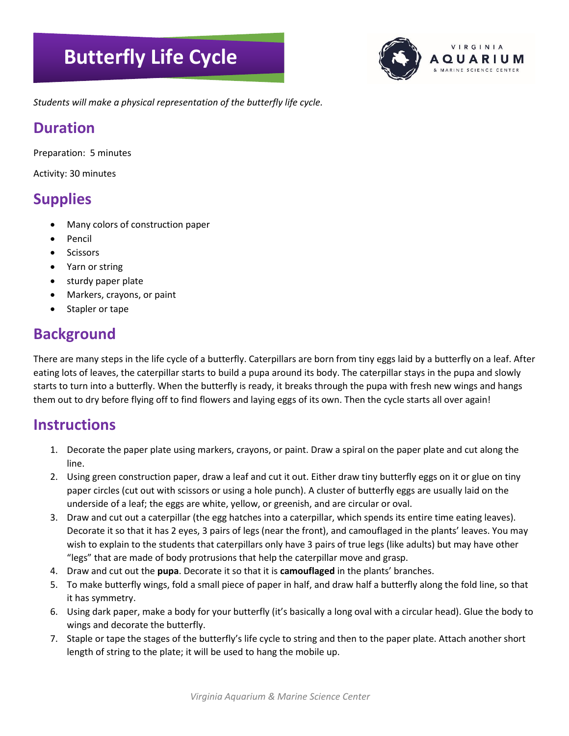# **Butterfly Life Cycle**



*Students will make a physical representation of the butterfly life cycle.* **Mobile**

#### **Duration**

Preparation: 5 minutes

Activity: 30 minutes

### **Supplies**

- Many colors of construction paper
- Pencil
- **Scissors**
- Yarn or string
- sturdy paper plate
- Markers, crayons, or paint
- Stapler or tape

## **Background**

There are many steps in the life cycle of a butterfly. Caterpillars are born from tiny eggs laid by a butterfly on a leaf. After eating lots of leaves, the caterpillar starts to build a pupa around its body. The caterpillar stays in the pupa and slowly starts to turn into a butterfly. When the butterfly is ready, it breaks through the pupa with fresh new wings and hangs them out to dry before flying off to find flowers and laying eggs of its own. Then the cycle starts all over again!

#### **Instructions**

- 1. Decorate the paper plate using markers, crayons, or paint. Draw a spiral on the paper plate and cut along the line.
- 2. Using green construction paper, draw a leaf and cut it out. Either draw tiny butterfly eggs on it or glue on tiny paper circles (cut out with scissors or using a hole punch). A cluster of butterfly eggs are usually laid on the underside of a leaf; the eggs are white, yellow, or greenish, and are circular or oval.
- 3. Draw and cut out a caterpillar (the egg hatches into a caterpillar, which spends its entire time eating leaves). Decorate it so that it has 2 eyes, 3 pairs of legs (near the front), and camouflaged in the plants' leaves. You may wish to explain to the students that caterpillars only have 3 pairs of true legs (like adults) but may have other "legs" that are made of body protrusions that help the caterpillar move and grasp.
- 4. Draw and cut out the **pupa**. Decorate it so that it is **camouflaged** in the plants' branches.
- 5. To make butterfly wings, fold a small piece of paper in half, and draw half a butterfly along the fold line, so that it has symmetry.
- 6. Using dark paper, make a body for your butterfly (it's basically a long oval with a circular head). Glue the body to wings and decorate the butterfly.
- 7. Staple or tape the stages of the butterfly's life cycle to string and then to the paper plate. Attach another short length of string to the plate; it will be used to hang the mobile up.